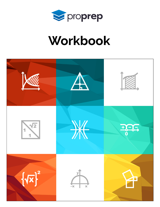

# Workbook

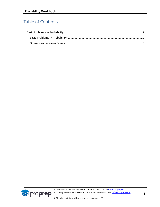### Table of Contents

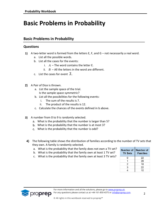## <span id="page-2-0"></span>**Basic Problems in Probability**

#### <span id="page-2-1"></span>**Basic Problems in Probability**

#### **Questions**

- **1)** A two-letter word is formed from the letters E, F, and  $G$  not necessarily a real word.
	- a. List all the possible words.
	- b. List all the cases for the events:
		- i.  $A$  The word contains the letter E.
		- ii.  $B A$ ll the letters in the word are different.
	- c. List the cases for event *A* .
- 2) A Pair of Dice is thrown.
	- a. List the sample space of the trial. Is the sample space symmetric?
	- b. List all the possibilities for the following events:
		- i. The sum of the results is 7.
		- ii. The product of the results is 12.
	- c. Calculate the chances of the events defined in b above.
- 3) A number from 0 to 9 is randomly selected.
	- What is the probability that the number is larger than 5?
	- What is the probability that the number is at most 3?
	- What is the probability that the number is odd?
- 4) The following table shows the distribution of families according to the number of TV sets that they own. A family is randomly selected.
	- a. What is the probability that the family does not own a TV set?
	- b. What is the probability that the family own at least 1 TV set?
	- c. What is the probability that the family own at least 3 TV sets?

| Number of<br><b>TV Sets</b> | Number of<br><b>Families</b> |
|-----------------------------|------------------------------|
| ი                           | 22                           |
|                             | 28                           |
| 2                           | 18                           |
| 3                           | 22                           |
|                             | 10                           |

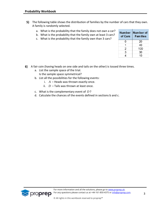- The following table shows the distribution of families by the number of cars that they own. A family is randomly selected.
	- a. What is the probability that the family does not own a car?
	- b. What is the probability that the family own at least 3 cars?
	- c. What is the probability that the family own than 3 cars?

| Number –<br>of Cars | Number of<br><b>Families</b> |
|---------------------|------------------------------|
| ი                   | 20                           |
| 1                   | 40                           |
| 2                   | 100                          |
| 3                   | 30                           |
| 4                   | 10                           |

- A fair coin (having heads on one side and tails on the other) is tossed three times.
	- a. List the sample space of the trial. Is the sample space symmetrical?
	- b. List all the possibilities for the following events:
		- $A$  Heads was thrown exactly once.
		- ii.  $D$  Tails was thrown at least once.
	- c. What is the complementary event of *D* ?
	- d. Calculate the chances of the events defined in sections b and c.

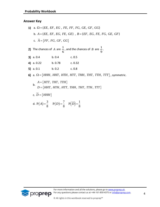#### **Answer Key**

**5 3 6 1 7 a.** 
$$
\Omega = \{EE, EF, EG, FE, FF, FG, GE, GF, GG\}
$$
  
\n**b.**  $A = \{EE, EF, EG, FE, GE\}$ ,  $B = \{EF, EG, FE, FG, GE, GF\}$   
\n**c.**  $\overline{A} = \{FF, FG, GF, GG\}$   
\n**2 7 8 1 9 1 10 11 12 13 14 15 16 17 18 19 10 10 10 10 10 10 10 10 10 10 10 10 10 10 10 10 10 10 10 10 10 10 10 10 10 10 10 10 10 10 10 10 10 10 10 10 10 10 10 10 10 10 10 10 10 10 10 10 10 10 10 10 10 10 10 10 10 10 10 10 10 10**

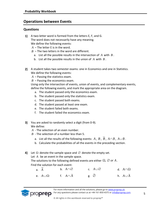#### <span id="page-5-0"></span>**Operations between Events**

#### **Questions**

- 1) A two-letter word is formed from the letters E, F, and G. The word does not necessarily have any meaning. We define the following events:
	- *A* The letter E is in the word.
	- $B -$ The two letters in the word are different.
		- a. List all the possible results in the intersection of *A* with *B* .
		- b. List all the possible results in the union of *A* with *B* .
- 2) A student takes two semester exams: one in Economics and one in Statistics. We define the following events:
	- *A* Passing the statistics exam.
	- *B* Passing the economics exam.

Using only the intersection of events, union of events, and complementary events, define the following events, and mark the appropriate area on the diagram.

- a. The student passed only the economics exam.
- b. The student passed only the statistics exam.
- c. The student passed both exams.
- d. The student passed at least one exam.
- e. The student failed both exams.
- f. The student failed the economics exam.
- You are asked to randomly select a digit (from 0-9). We define:
	- *A* The selection of an even number.
	- *B* The selection of a number less than 5.
		- a. List all the results of the following events:  $A$  ,  $B$  ,  $B$  ,  $A \cap B$  ,  $A \cup B$  .
		- b. Calculate the probabilities of all the events in the preceding section.
- Let  $\Omega$  denote the sample space and  $\varnothing$  denote the empty set.
	- Let A be an event in the sample space.

The solutions to the following defined events are either  $\, \Omega,\, \varnothing\, \mathit{or}\, A$  . Find the solution for each event:

| a. $\overline{A}$ |                    | b. $A \cap \varnothing$ | c. $A\cup\varnothing$ | d. $A \cap \Omega$       |
|-------------------|--------------------|-------------------------|-----------------------|--------------------------|
|                   | e. $A \cup \Omega$ | f. $A \cap A$           | g. $\varnothing$      | h. $A \cup \overline{A}$ |

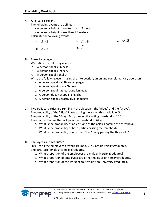5) A Persons's Height.

The following events are defined:

- *A* A person's height is greater than 1.7 meters.
- $B A$  person's height is less than 1.8 meters.

Calculate the following events:

| a. $A \cap B$                       |      | b. $A \cup B$ | c. $A \cap B$ |
|-------------------------------------|------|---------------|---------------|
| d. $\overline{A} \cup \overline{B}$ | e. A | $=$           |               |

**6)** Three Languages.

We define the following events:

- *A* A person speaks Chinese.
- *B* A person speaks French.
- $C A$  person speaks English.

Write the following events using the intersection, union and complementary operators:

- a. A person speaks all three languages.
- b. A person speaks only Chinese.
- c. A person speaks at least one language.
- d. A person does not speak English.
- e. A person speaks exactly two languages.
- Two political parties are running in the election the "Blues" and the "Greys". The probability of the "Blue" Party passing the voting threshold is 0.08. The probability of the "Grey" Party passing the voting threshold is 0.20 . The chances that neither will pass the threshold is 76% .
	- a. What is the probability of at least one of the parties passing the threshold?
	- b. What is the probability of both parties passing the threshold?
	- c. What is the probability of only the "Grey" party passing the threshold?
- 8) Employees and Graduates.

40% of all the employees at work are men, 20% are university graduates, and 10% are female university graduates.

- a. What proportion of the employees are male university graduates?
- b. What proportion of employees are either males or university graduates?
- c. What proportion of the workers are female non-university graduates?

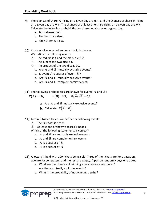- The chances of share  $A$  rising on a given day are  $0.5$ , and the chances of share  $B$  rising on a given day are  $0.4$  . The chances of at least one share rising on a given day are  $0.7$ . Calculate the following probabilities for these two shares on a given day:
	- a. Both shares rise.
	- b. Neither share rises.
	- c. Only share A rises.
- 10) A pair of dice, one red and one black, is thrown. We define the following events:
	- *A* The red die is 4 and the black die is 2.
	- $B$  The sum of the two dice is 6.
	- *C* The product of the two dice is 10.
		- a. Are  $A$  and  $B$  mutually exclusive events?
		- b. Is event  $A$  a subset of event  $B$ ?
		- c. Are  $A$  and  $C$  mutually exclusive events?
		- d. Are  $A$  and  $C$  complementary events?
- The following probabilities are known for events  $A$  and  $B$ :

$$
P(A)=0.6
$$
,  $P(B)=0.3$ ,  $P(\overline{A} \cap \overline{B})=0.1$ 

- Are  $A$  and  $B$  mutually exclusive events?
- Calculate:  $P\bigl(A \cap B\bigr)$ .
- 12) A coin is tossed twice. We define the following events:
	- *A* The first toss is heads.
	- $B A t$  least one of the two tosses is heads.

Which of the following statements is correct?

- a.  $A$  and  $B$  are mutually exclusive events.
- b.  $A$  and  $B$  are complementary events.
- c.  $A$  is a subset of  $B$ .
- d. *B* is a subset of *A* .
- 13) A lottery is held with 100 tickets being sold. Three of the tickets are for a vacation, two are for computers, and the rest are empty. A person randomly buys one ticket.
	- a. What are the chances of winning a vacation or a computer? Are these mutually exclusive events?
	- b. What is the probability of not winning a prize?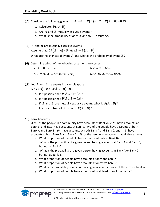- Consider the following givens:  $P(A) = 0.3$ ,  $P(B) = 0.25$ ,  $P(A \cup B) = 0.49$ .
	- a. Calculate:  $P(A\!\cap\!B)$ .
	- b. Are  $A$  and  $B$  mutually exclusive events?
	- c. What is the probability of only  $A$  or only  $B$  occurring?
- *A* and *B* are mutually exclusive events. A and *B* are mutually exclusive events.<br>Assume that:  $2P(B \cap \overline{A}) = P(A \cap \overline{B}) = P(\overline{A} \cap \overline{B})$ .

What are the chances of event  $A$  and what is the probability of event  $B$ ?

16) Determine which of the following assertions are correct:

a. 
$$
A \cap B = B \cap A
$$
  
b.  $A \cup B = A \cap B$   
c.  $A \cap B \cap C = A \cap B \cap (C \cup B)$   
d.  $A \cap B \cap C = \overline{A} \cup \overline{B} \cup \overline{C}$ 

Let  $A$  and  $B$  be events in a sample space.

Let *A* and *B* be events in a sample

- a. Is it possible that  $P(A \cup B) = 0.4$ ?
- b. Is it possible that  $P(A \cup B) = 0.6$ ?
- c. If A and B are mutually exclusive events, what is  $P(A \cup B)$ ?
- d. If  $B$  is a subset of  $A$  , what is  $P(A \cup B)$ ?
- 18) Bank Accounts.

30% of the people in a community have accounts at Bank A, 28% have accounts at Bank B, and 15% have accounts at Bank C. 6% of the people have accounts at both Bank A and Bank B, 5% have accounts at both Bank A and Bank C, and 4% have accounts at both Bank B and Bank C. 1% of the people have accounts at all three banks.

- a. What proportion of the adults have an account only at Bank B?
- b. What is the probability of a given person having accounts at Bank A and Bank B, but not at Bank C.
- c. What is the probability of a given person having accounts at Bank A or Bank C, but not at Bank B?
- d. What proportion of people have accounts at only one bank?
- e. What proportion of people have accounts at only two banks?
- f. What is the probability of an adult having an account at none of these three banks?
- g. What proportion of people have an account in at least one of the banks?

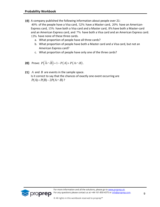- 19) A company published the following information about people over 21: 40% of the people have a Visa card, 52% have a Master card, 20% have an American-Express card, 15% have both a Visa card and a Master card, 8% have both a Master-card and an American Express card, and 7% have both a Visa card and an American Express card. 13% have none of these three cards.
	- a. What proportion of people have all three cards?
	- b. What proportion of people have both a Master card and a Visa card, but not an American Express card?
	- c. What proportion of people have only one of the three cards?
- Prove:  $P(\overline{A} \cap \overline{B}) = 1 P(A) + P(A \cap B)$  .
- *A* and *B* are events in the sample space. Is it correct to say that the chances of exactly one event occurring are *P*(*A*) + *P*(*B*) – 2*P*(*A* $\cap$ *B*)?